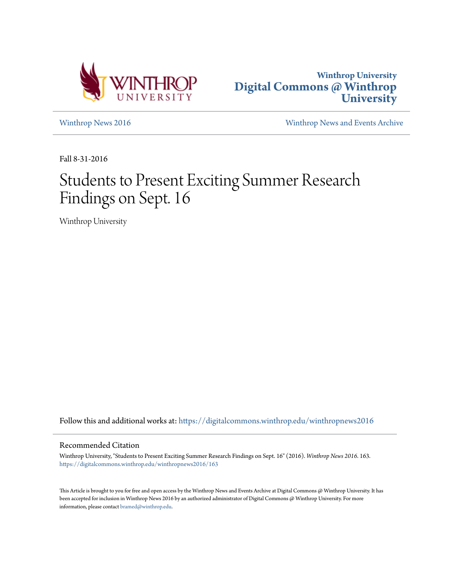



[Winthrop News 2016](https://digitalcommons.winthrop.edu/winthropnews2016?utm_source=digitalcommons.winthrop.edu%2Fwinthropnews2016%2F163&utm_medium=PDF&utm_campaign=PDFCoverPages) [Winthrop News and Events Archive](https://digitalcommons.winthrop.edu/winthropnewsarchives?utm_source=digitalcommons.winthrop.edu%2Fwinthropnews2016%2F163&utm_medium=PDF&utm_campaign=PDFCoverPages)

Fall 8-31-2016

# Students to Present Exciting Summer Research Findings on Sept. 16

Winthrop University

Follow this and additional works at: [https://digitalcommons.winthrop.edu/winthropnews2016](https://digitalcommons.winthrop.edu/winthropnews2016?utm_source=digitalcommons.winthrop.edu%2Fwinthropnews2016%2F163&utm_medium=PDF&utm_campaign=PDFCoverPages)

#### Recommended Citation

Winthrop University, "Students to Present Exciting Summer Research Findings on Sept. 16" (2016). *Winthrop News 2016*. 163. [https://digitalcommons.winthrop.edu/winthropnews2016/163](https://digitalcommons.winthrop.edu/winthropnews2016/163?utm_source=digitalcommons.winthrop.edu%2Fwinthropnews2016%2F163&utm_medium=PDF&utm_campaign=PDFCoverPages)

This Article is brought to you for free and open access by the Winthrop News and Events Archive at Digital Commons @ Winthrop University. It has been accepted for inclusion in Winthrop News 2016 by an authorized administrator of Digital Commons @ Winthrop University. For more information, please contact [bramed@winthrop.edu](mailto:bramed@winthrop.edu).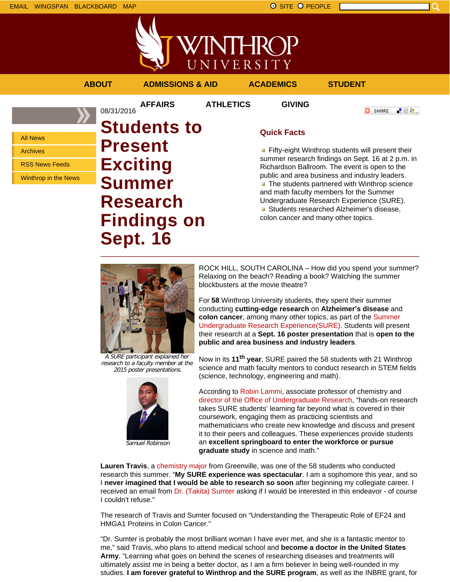

VINTHROP UNIVERSITY

**AFFAIRS ATHLETICS GIVING**

### **ABOUT ADMISSIONS & AID ACADEMICS STUDENT**

**C** SHARE 「验費」

All News

Archives

RSS News Feeds

Winthrop in the News

08/31/2016 **Students to Present Exciting Summer Research Findings on Sept. 16**

## **Quick Facts**

**Fifty-eight Winthrop students will present their** summer research findings on Sept. 16 at 2 p.m. in Richardson Ballroom. The event is open to the public and area business and industry leaders.  $\blacksquare$  The students partnered with Winthrop science and math faculty members for the Summer Undergraduate Research Experience (SURE). **B** Students researched Alzheimer's disease, colon cancer and many other topics.



A SURE participant explained her research to a faculty member at the 2015 poster presentations.



Samuel Robinson

ROCK HILL, SOUTH CAROLINA – How did you spend your summer? Relaxing on the beach? Reading a book? Watching the summer blockbusters at the movie theatre?

For **58** Winthrop University students, they spent their summer conducting **cutting-edge research** on **Alzheimer's disease** and **colon cancer**, among many other topics, as part of the Summer Undergraduate Research Experience(SURE). Students will present their research at a **Sept. 16 poster presentation** that is **open to the public and area business and industry leaders**.

Now in its **11th year**, SURE paired the 58 students with 21 Winthrop science and math faculty mentors to conduct research in STEM fields (science, technology, engineering and math).

According to Robin Lammi, associate professor of chemistry and director of the Office of Undergraduate Research, "hands-on research takes SURE students' learning far beyond what is covered in their coursework, engaging them as practicing scientists and mathematicians who create new knowledge and discuss and present it to their peers and colleagues. These experiences provide students an **excellent springboard to enter the workforce or pursue graduate study** in science and math."

**Lauren Travis**, a chemistry major from Greenville, was one of the 58 students who conducted research this summer. "**My SURE experience was spectacular**. I am a sophomore this year, and so I **never imagined that I would be able to research so soon** after beginning my collegiate career. I received an email from Dr. (Takita) Sumter asking if I would be interested in this endeavor - of course I couldn't refuse."

The research of Travis and Sumter focused on "Understanding the Therapeutic Role of EF24 and HMGA1 Proteins in Colon Cancer."

"Dr. Sumter is probably the most brilliant woman I have ever met, and she is a fantastic mentor to me," said Travis, who plans to attend medical school and **become a doctor in the United States Army**. "Learning what goes on behind the scenes of researching diseases and treatments will ultimately assist me in being a better doctor, as I am a firm believer in being well-rounded in my studies. **I am forever grateful to Winthrop and the SURE program**, as well as the INBRE grant, for